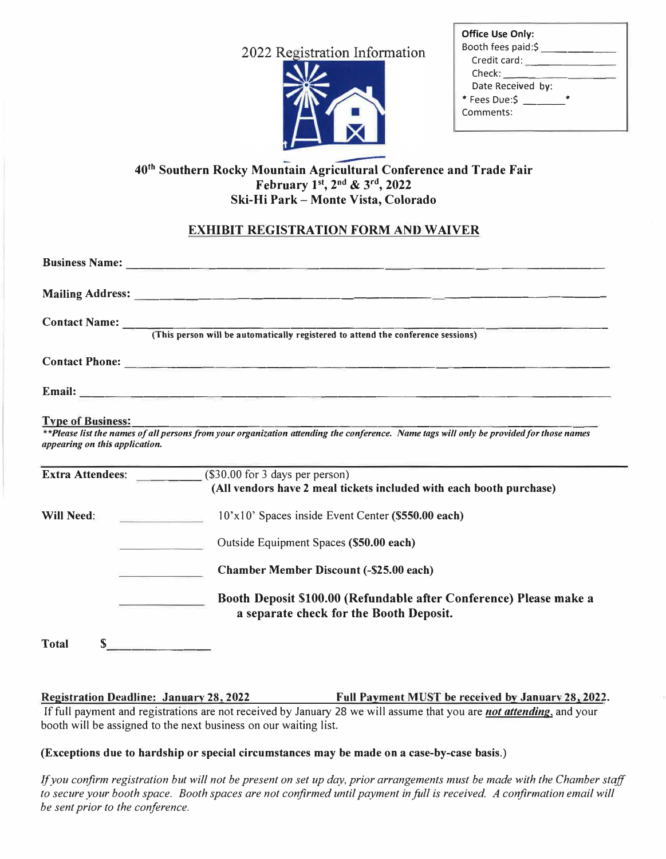2022 Registration Information



| <b>Office Use Only:</b> |  |
|-------------------------|--|
| Booth fees paid:\$      |  |
| Credit card:            |  |
| Check:                  |  |
| Date Received by:       |  |
| * Fees Due:\$           |  |
| Comments:               |  |

## **40th Southern Rocky Mountain Agricultural Conference and Trade Fair February l <sup>51</sup> , 2 nd & 3rd , 2022 Ski-Hi Park- Monte Vista, Colorado**

# **EXHIBIT REGISTRATION FORM AND WAIVER**

|                                                            | Contact Name: (This person will be automatically registered to attend the conference sessions)                                                        |
|------------------------------------------------------------|-------------------------------------------------------------------------------------------------------------------------------------------------------|
|                                                            |                                                                                                                                                       |
|                                                            |                                                                                                                                                       |
| <b>Type of Business:</b><br>appearing on this application. | <b>The Structure of the Structure of all persons from your organization attending the conference.</b> Name tags will only be provided for those names |
|                                                            | <b>Extra Attendees:</b> (\$30.00 for 3 days per person)<br>(All vendors have 2 meal tickets included with each booth purchase)                        |
| <b>Will Need:</b>                                          | 10'x10' Spaces inside Event Center (\$550.00 each)                                                                                                    |
|                                                            | Outside Equipment Spaces (\$50.00 each)                                                                                                               |
|                                                            | <b>Chamber Member Discount (-\$25.00 each)</b>                                                                                                        |
|                                                            | Booth Deposit \$100.00 (Refundable after Conference) Please make a<br>a separate check for the Booth Deposit.                                         |
| S<br><b>Total</b>                                          |                                                                                                                                                       |

**Registration Deadline: January 28, 2022 Full Payment MUST be received by Januarv 28, 2022. If** full payment and registrations are not received by January 28 we will assume that you are *not attending,* and your booth will be assigned to the next business on our waiting list.

#### **(Exceptions due to hardship or special circumstances may be made on a case-by-case basis.)**

If you confirm registration but will not be present on set up *day*, prior arrangements must be made with the Chamber staff *to secure your booth space. Booth spaces are not confirmed until payment in full is received. A confirmation email will be sent prior to the conference.*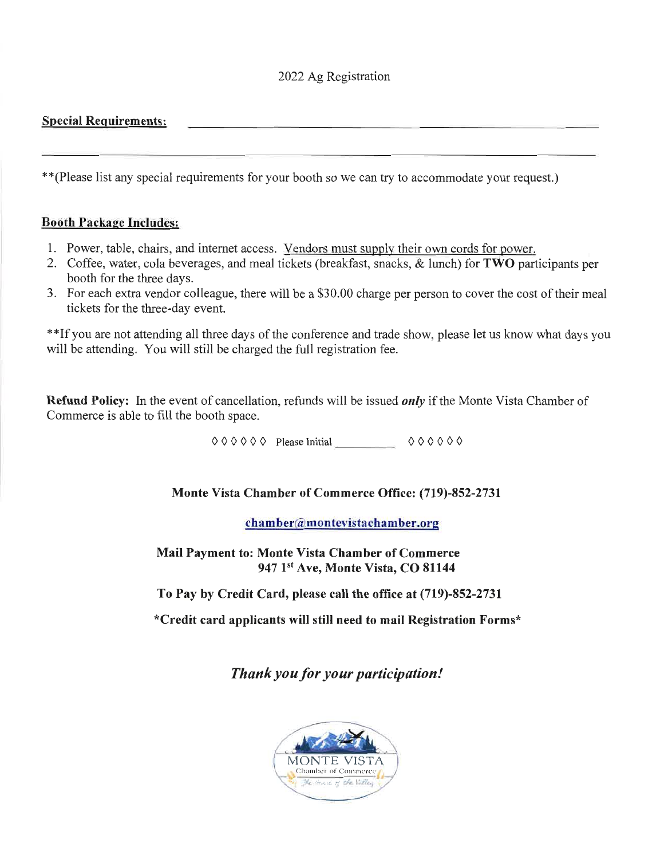# 2022 Ag Registration

## **Special Requirements:**

\*\* (Please list any special requirements for your booth so we can try to accommodate your request.)

#### **Booth Package Includes:**

- 1. Power, table, chairs, and internet access. Vendors must supply their own cords for power.
- 2. Coffee, water, cola beverages, and meal tickets (breakfast, snacks, & lunch) for TWO participants per booth for the three days.
- 3. For each extra vendor colleague, there will be a \$30.00 charge per person to cover the cost of their meal tickets for the three-day event.

\*\*If you are not attending all three days of the conference and trade show, please let us know what days you will be attending. You will still be charged the full registration fee.

**Refund Policy:** In the event of cancellation, refunds will be issued *only* if the Monte Vista Chamber of Commerce is able to fill the booth space.

 $000000$  Please Initial  $000000$ 

## Monte Vista Chamber of Commerce Office: (719)-852-2731

chamber@montevistachamber.org

**Mail Payment to: Monte Vista Chamber of Commerce** 947 1<sup>st</sup> Ave, Monte Vista, CO 81144

To Pay by Credit Card, please call the office at (719)-852-2731

\*Credit card applicants will still need to mail Registration Forms\*

Thank you for your participation!

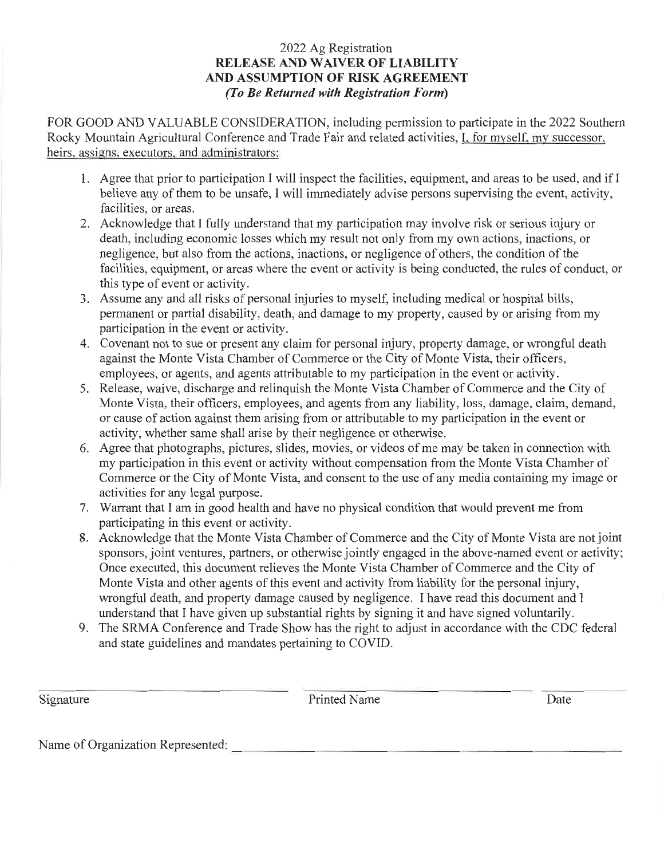## 2022 Ag Registration **RELEASE AND WAIVER OF LIABILITY** AND ASSUMPTION OF RISK AGREEMENT (To Be Returned with Registration Form)

FOR GOOD AND VALUABLE CONSIDERATION, including permission to participate in the 2022 Southern Rocky Mountain Agricultural Conference and Trade Fair and related activities, I, for myself, my successor, heirs, assigns, executors, and administrators:

- 1. Agree that prior to participation I will inspect the facilities, equipment, and areas to be used, and if I believe any of them to be unsafe, I will immediately advise persons supervising the event, activity, facilities, or areas.
- 2. Acknowledge that I fully understand that my participation may involve risk or serious injury or death, including economic losses which my result not only from my own actions, inactions, or negligence, but also from the actions, inactions, or negligence of others, the condition of the facilities, equipment, or areas where the event or activity is being conducted, the rules of conduct, or this type of event or activity.
- 3. Assume any and all risks of personal injuries to myself, including medical or hospital bills, permanent or partial disability, death, and damage to my property, caused by or arising from my participation in the event or activity.
- 4. Covenant not to sue or present any claim for personal injury, property damage, or wrongful death against the Monte Vista Chamber of Commerce or the City of Monte Vista, their officers, employees, or agents, and agents attributable to my participation in the event or activity.
- 5. Release, waive, discharge and relinguish the Monte Vista Chamber of Commerce and the City of Monte Vista, their officers, employees, and agents from any liability, loss, damage, claim, demand, or cause of action against them arising from or attributable to my participation in the event or activity, whether same shall arise by their negligence or otherwise.
- 6. Agree that photographs, pictures, slides, movies, or videos of me may be taken in connection with my participation in this event or activity without compensation from the Monte Vista Chamber of Commerce or the City of Monte Vista, and consent to the use of any media containing my image or activities for any legal purpose.
- 7. Warrant that I am in good health and have no physical condition that would prevent me from participating in this event or activity.
- 8. Acknowledge that the Monte Vista Chamber of Commerce and the City of Monte Vista are not joint sponsors, joint ventures, partners, or otherwise jointly engaged in the above-named event or activity; Once executed, this document relieves the Monte Vista Chamber of Commerce and the City of Monte Vista and other agents of this event and activity from liability for the personal injury, wrongful death, and property damage caused by negligence. I have read this document and I understand that I have given up substantial rights by signing it and have signed voluntarily.
- 9. The SRMA Conference and Trade Show has the right to adjust in accordance with the CDC federal and state guidelines and mandates pertaining to COVID.

Signature

**Printed Name** 

Date

Name of Organization Represented: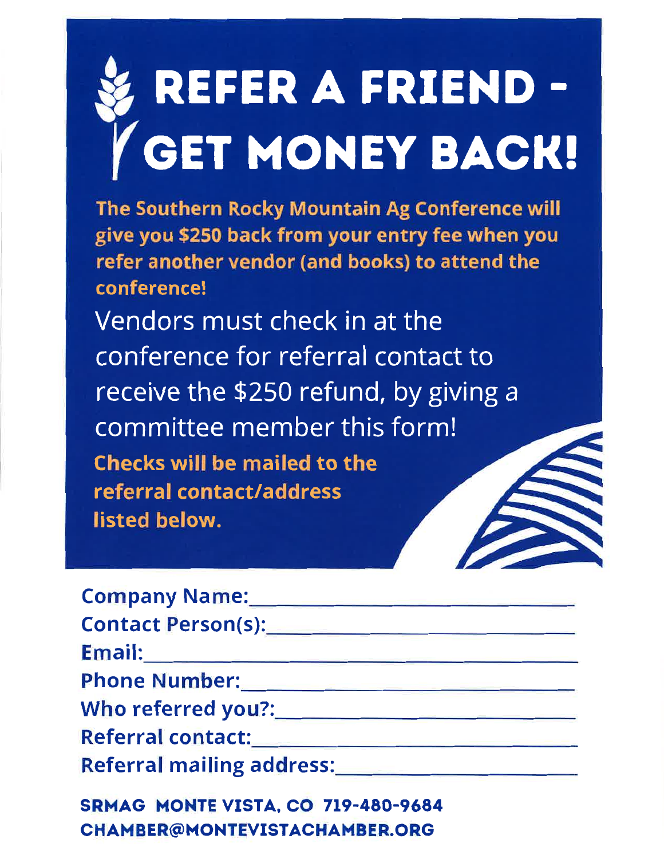# REFER A FRIEND-GET MONEY BACK!

The Southern Rocky Mountain Ag Conference will give you \$250 back from your entry fee when you refer another vendor (and books) to attend the conference!

Vendors must check in at the conference for referral contact to receive the \$250 refund, by giving a committee member this form! **Checks will be mailed to the** referral contact/address listed below.

| Contact Person(s): Note that the contract of the contract of the contract of the contract of the contract of the contract of the contract of the contract of the contract of the contract of the contract of the contract of t |  |
|--------------------------------------------------------------------------------------------------------------------------------------------------------------------------------------------------------------------------------|--|
| <u>Email:____________________________</u>                                                                                                                                                                                      |  |
|                                                                                                                                                                                                                                |  |
|                                                                                                                                                                                                                                |  |
| Referral contact:                                                                                                                                                                                                              |  |
|                                                                                                                                                                                                                                |  |
| SRMAG MONTEVISTA, CO 719-480-9684                                                                                                                                                                                              |  |

**CHAMBER@MONTEVISTACHAMBER.ORG**